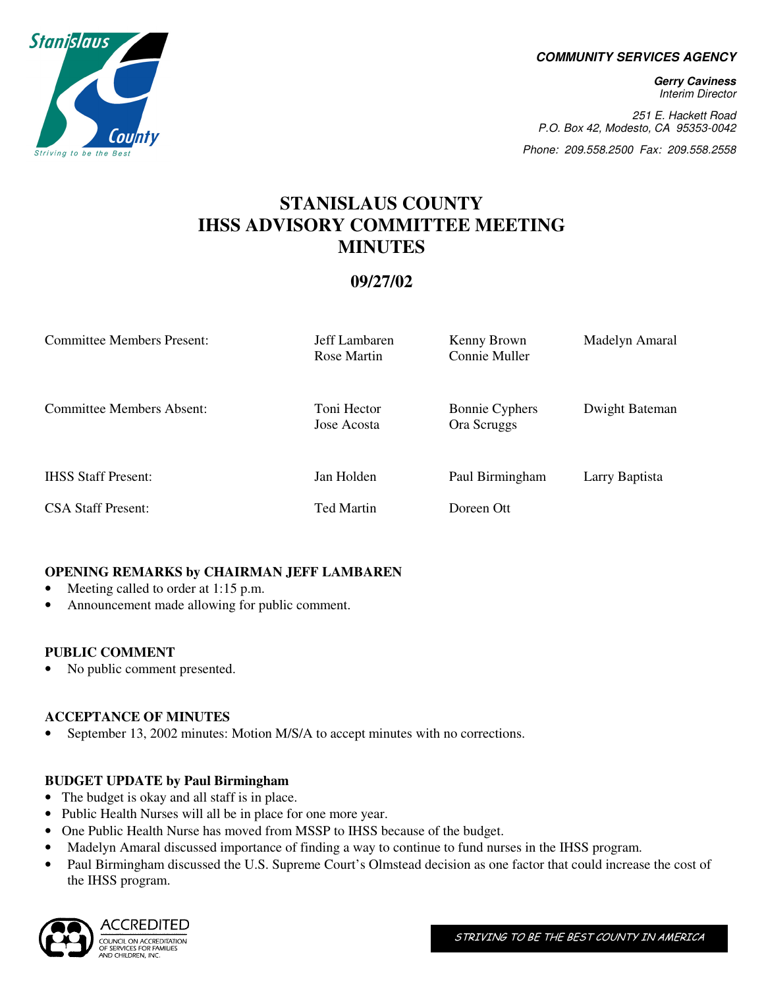**COMMUNITY SERVICES AGENCY** 

**Gerry Caviness**  Interim Director

251 E. Hackett Road P.O. Box 42, Modesto, CA 95353-0042

Phone: 209.558.2500 Fax: 209.558.2558

# **STANISLAUS COUNTY IHSS ADVISORY COMMITTEE MEETING MINUTES**

# **09/27/02**

| <b>Committee Members Present:</b> | Jeff Lambaren<br>Rose Martin | Kenny Brown<br>Connie Muller         | Madelyn Amaral |
|-----------------------------------|------------------------------|--------------------------------------|----------------|
| <b>Committee Members Absent:</b>  | Toni Hector<br>Jose Acosta   | <b>Bonnie Cyphers</b><br>Ora Scruggs | Dwight Bateman |
| <b>IHSS Staff Present:</b>        | Jan Holden                   | Paul Birmingham                      | Larry Baptista |
| <b>CSA Staff Present:</b>         | Ted Martin                   | Doreen Ott                           |                |

# **OPENING REMARKS by CHAIRMAN JEFF LAMBAREN**

- Meeting called to order at 1:15 p.m.
- Announcement made allowing for public comment.

# **PUBLIC COMMENT**

• No public comment presented.

# **ACCEPTANCE OF MINUTES**

• September 13, 2002 minutes: Motion M/S/A to accept minutes with no corrections.

# **BUDGET UPDATE by Paul Birmingham**

- The budget is okay and all staff is in place.
- Public Health Nurses will all be in place for one more year.
- One Public Health Nurse has moved from MSSP to IHSS because of the budget.
- Madelyn Amaral discussed importance of finding a way to continue to fund nurses in the IHSS program.
- Paul Birmingham discussed the U.S. Supreme Court's Olmstead decision as one factor that could increase the cost of the IHSS program.



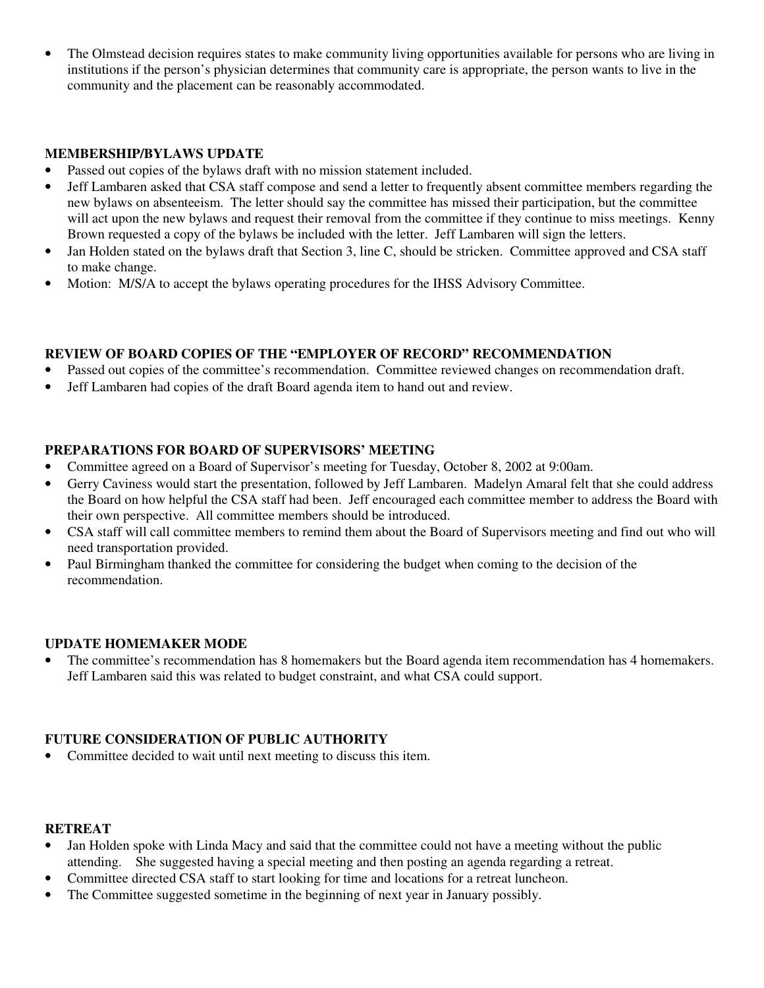• The Olmstead decision requires states to make community living opportunities available for persons who are living in institutions if the person's physician determines that community care is appropriate, the person wants to live in the community and the placement can be reasonably accommodated.

#### **MEMBERSHIP/BYLAWS UPDATE**

- Passed out copies of the bylaws draft with no mission statement included.
- Jeff Lambaren asked that CSA staff compose and send a letter to frequently absent committee members regarding the new bylaws on absenteeism. The letter should say the committee has missed their participation, but the committee will act upon the new bylaws and request their removal from the committee if they continue to miss meetings. Kenny Brown requested a copy of the bylaws be included with the letter. Jeff Lambaren will sign the letters.
- Jan Holden stated on the bylaws draft that Section 3, line C, should be stricken. Committee approved and CSA staff to make change.
- Motion: M/S/A to accept the bylaws operating procedures for the IHSS Advisory Committee.

# **REVIEW OF BOARD COPIES OF THE "EMPLOYER OF RECORD" RECOMMENDATION**

- Passed out copies of the committee's recommendation. Committee reviewed changes on recommendation draft.
- Jeff Lambaren had copies of the draft Board agenda item to hand out and review.

# **PREPARATIONS FOR BOARD OF SUPERVISORS' MEETING**

- Committee agreed on a Board of Supervisor's meeting for Tuesday, October 8, 2002 at 9:00am.
- Gerry Caviness would start the presentation, followed by Jeff Lambaren. Madelyn Amaral felt that she could address the Board on how helpful the CSA staff had been. Jeff encouraged each committee member to address the Board with their own perspective. All committee members should be introduced.
- CSA staff will call committee members to remind them about the Board of Supervisors meeting and find out who will need transportation provided.
- Paul Birmingham thanked the committee for considering the budget when coming to the decision of the recommendation.

#### **UPDATE HOMEMAKER MODE**

• The committee's recommendation has 8 homemakers but the Board agenda item recommendation has 4 homemakers. Jeff Lambaren said this was related to budget constraint, and what CSA could support.

#### **FUTURE CONSIDERATION OF PUBLIC AUTHORITY**

• Committee decided to wait until next meeting to discuss this item.

#### **RETREAT**

- Jan Holden spoke with Linda Macy and said that the committee could not have a meeting without the public attending. She suggested having a special meeting and then posting an agenda regarding a retreat.
- Committee directed CSA staff to start looking for time and locations for a retreat luncheon.
- The Committee suggested sometime in the beginning of next year in January possibly.